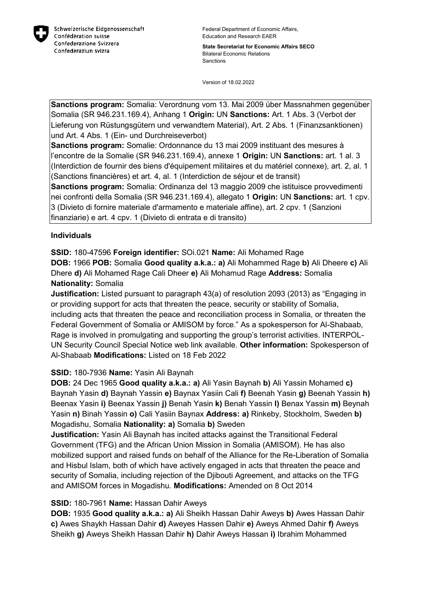

**State Secretariat for Economic Affairs SECO** Bilateral Economic Relations **Sanctions** 

Version of 18.02.2022

**Sanctions program:** Somalia: Verordnung vom 13. Mai 2009 über Massnahmen gegenüber Somalia (SR 946.231.169.4), Anhang 1 **Origin:** UN **Sanctions:** Art. 1 Abs. 3 (Verbot der Lieferung von Rüstungsgütern und verwandtem Material), Art. 2 Abs. 1 (Finanzsanktionen) und Art. 4 Abs. 1 (Ein- und Durchreiseverbot)

**Sanctions program:** Somalie: Ordonnance du 13 mai 2009 instituant des mesures à l'encontre de la Somalie (SR 946.231.169.4), annexe 1 **Origin:** UN **Sanctions:** art. 1 al. 3 (Interdiction de fournir des biens d'équipement militaires et du matériel connexe), art. 2, al. 1 (Sanctions financières) et art. 4, al. 1 (Interdiction de séjour et de transit) **Sanctions program:** Somalia: Ordinanza del 13 maggio 2009 che istituisce provvedimenti nei confronti della Somalia (SR 946.231.169.4), allegato 1 **Origin:** UN **Sanctions:** art. 1 cpv. 3 (Divieto di fornire materiale d'armamento e materiale affine), art. 2 cpv. 1 (Sanzioni finanziarie) e art. 4 cpv. 1 (Divieto di entrata e di transito)

# **Individuals**

**SSID:** 180-47596 **Foreign identifier:** SOi.021 **Name:** Ali Mohamed Rage

**DOB:** 1966 **POB:** Somalia **Good quality a.k.a.: a)** Ali Mohammed Rage **b)** Ali Dheere **c)** Ali Dhere **d)** Ali Mohamed Rage Cali Dheer **e)** Ali Mohamud Rage **Address:** Somalia **Nationality:** Somalia

**Justification:** Listed pursuant to paragraph 43(a) of resolution 2093 (2013) as "Engaging in or providing support for acts that threaten the peace, security or stability of Somalia, including acts that threaten the peace and reconciliation process in Somalia, or threaten the Federal Government of Somalia or AMISOM by force." As a spokesperson for Al-Shabaab, Rage is involved in promulgating and supporting the group's terrorist activities. INTERPOL-UN Security Council Special Notice web link available. **Other information:** Spokesperson of Al-Shabaab **Modifications:** Listed on 18 Feb 2022

# **SSID:** 180-7936 **Name:** Yasin Ali Baynah

**DOB:** 24 Dec 1965 **Good quality a.k.a.: a)** Ali Yasin Baynah **b)** Ali Yassin Mohamed **c)**  Baynah Yasin **d)** Baynah Yassin **e)** Baynax Yasiin Cali **f)** Beenah Yasin **g)** Beenah Yassin **h)**  Beenax Yasin **i)** Beenax Yassin **j)** Benah Yasin **k)** Benah Yassin **l)** Benax Yassin **m)** Beynah Yasin **n)** Binah Yassin **o)** Cali Yasiin Baynax **Address: a)** Rinkeby, Stockholm, Sweden **b)**  Mogadishu, Somalia **Nationality: a)** Somalia **b)** Sweden

**Justification:** Yasin Ali Baynah has incited attacks against the Transitional Federal Government (TFG) and the African Union Mission in Somalia (AMISOM). He has also mobilized support and raised funds on behalf of the Alliance for the Re-Liberation of Somalia and Hisbul Islam, both of which have actively engaged in acts that threaten the peace and security of Somalia, including rejection of the Djibouti Agreement, and attacks on the TFG and AMISOM forces in Mogadishu. **Modifications:** Amended on 8 Oct 2014

#### **SSID:** 180-7961 **Name:** Hassan Dahir Aweys

**DOB:** 1935 **Good quality a.k.a.: a)** Ali Sheikh Hassan Dahir Aweys **b)** Awes Hassan Dahir **c)** Awes Shaykh Hassan Dahir **d)** Aweyes Hassen Dahir **e)** Aweys Ahmed Dahir **f)** Aweys Sheikh **g)** Aweys Sheikh Hassan Dahir **h)** Dahir Aweys Hassan **i)** Ibrahim Mohammed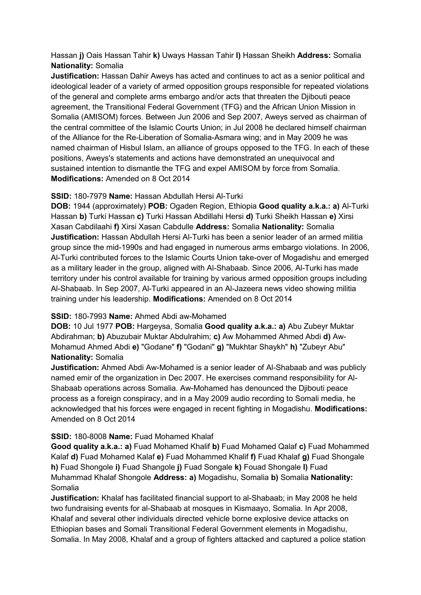Hassan **j)** Oais Hassan Tahir **k)** Uways Hassan Tahir **l)** Hassan Sheikh **Address:** Somalia **Nationality:** Somalia

**Justification:** Hassan Dahir Aweys has acted and continues to act as a senior political and ideological leader of a variety of armed opposition groups responsible for repeated violations of the general and complete arms embargo and/or acts that threaten the Djibouti peace agreement, the Transitional Federal Government (TFG) and the African Union Mission in Somalia (AMISOM) forces. Between Jun 2006 and Sep 2007, Aweys served as chairman of the central committee of the Islamic Courts Union; in Jul 2008 he declared himself chairman of the Alliance for the Re-Liberation of Somalia-Asmara wing; and in May 2009 he was named chairman of Hisbul Islam, an alliance of groups opposed to the TFG. In each of these positions, Aweys's statements and actions have demonstrated an unequivocal and sustained intention to dismantle the TFG and expel AMISOM by force from Somalia. **Modifications:** Amended on 8 Oct 2014

# **SSID:** 180-7979 **Name:** Hassan Abdullah Hersi Al-Turki

**DOB:** 1944 (approximately) **POB:** Ogaden Region, Ethiopia **Good quality a.k.a.: a)** Al-Turki Hassan **b)** Turki Hassan **c)** Turki Hassan Abdillahi Hersi **d)** Turki Sheikh Hassan **e)** Xirsi Xasan Cabdilaahi **f)** Xirsi Xasan Cabdulle **Address:** Somalia **Nationality:** Somalia **Justification:** Hassan Abdullah Hersi Al-Turki has been a senior leader of an armed militia group since the mid-1990s and had engaged in numerous arms embargo violations. In 2006, Al-Turki contributed forces to the Islamic Courts Union take-over of Mogadishu and emerged as a military leader in the group, aligned with Al-Shabaab. Since 2006, Al-Turki has made territory under his control available for training by various armed opposition groups including Al-Shabaab. In Sep 2007, Al-Turki appeared in an Al-Jazeera news video showing militia training under his leadership. **Modifications:** Amended on 8 Oct 2014

# **SSID:** 180-7993 **Name:** Ahmed Abdi aw-Mohamed

**DOB:** 10 Jul 1977 **POB:** Hargeysa, Somalia **Good quality a.k.a.: a)** Abu Zubeyr Muktar Abdirahman; **b)** Abuzubair Muktar Abdulrahim; **c)** Aw Mohammed Ahmed Abdi **d)** Aw-Mohamud Ahmed Abdi **e)** "Godane" **f)** "Godani" **g)** "Mukhtar Shaykh" **h)** "Zubeyr Abu" **Nationality:** Somalia

**Justification:** Ahmed Abdi Aw-Mohamed is a senior leader of Al-Shabaab and was publicly named emir of the organization in Dec 2007. He exercises command responsibility for Al-Shabaab operations across Somalia. Aw-Mohamed has denounced the Djibouti peace process as a foreign conspiracy, and in a May 2009 audio recording to Somali media, he acknowledged that his forces were engaged in recent fighting in Mogadishu. **Modifications:**  Amended on 8 Oct 2014

# **SSID:** 180-8008 **Name:** Fuad Mohamed Khalaf

**Good quality a.k.a.: a)** Fuad Mohamed Khalif **b)** Fuad Mohamed Qalaf **c)** Fuad Mohammed Kalaf **d)** Fuad Mohamed Kalaf **e)** Fuad Mohammed Khalif **f)** Fuad Khalaf **g)** Fuad Shongale **h)** Fuad Shongole **i)** Fuad Shangole **j)** Fuad Songale **k)** Fouad Shongale **l)** Fuad Muhammad Khalaf Shongole **Address: a)** Mogadishu, Somalia **b)** Somalia **Nationality:** Somalia

**Justification:** Khalaf has facilitated financial support to al-Shabaab; in May 2008 he held two fundraising events for al-Shabaab at mosques in Kismaayo, Somalia. In Apr 2008, Khalaf and several other individuals directed vehicle borne explosive device attacks on Ethiopian bases and Somali Transitional Federal Government elements in Mogadishu, Somalia. In May 2008, Khalaf and a group of fighters attacked and captured a police station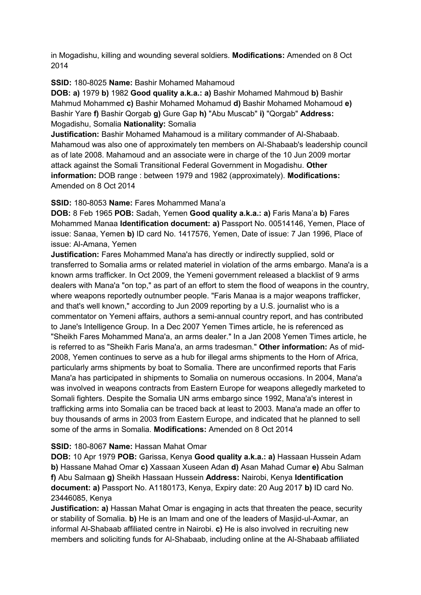in Mogadishu, killing and wounding several soldiers. **Modifications:** Amended on 8 Oct 2014

### **SSID:** 180-8025 **Name:** Bashir Mohamed Mahamoud

**DOB: a)** 1979 **b)** 1982 **Good quality a.k.a.: a)** Bashir Mohamed Mahmoud **b)** Bashir Mahmud Mohammed **c)** Bashir Mohamed Mohamud **d)** Bashir Mohamed Mohamoud **e)**  Bashir Yare **f)** Bashir Qorgab **g)** Gure Gap **h)** "Abu Muscab" **i)** "Qorgab" **Address:** Mogadishu, Somalia **Nationality:** Somalia

**Justification:** Bashir Mohamed Mahamoud is a military commander of Al-Shabaab. Mahamoud was also one of approximately ten members on Al-Shabaab's leadership council as of late 2008. Mahamoud and an associate were in charge of the 10 Jun 2009 mortar attack against the Somali Transitional Federal Government in Mogadishu. **Other information:** DOB range : between 1979 and 1982 (approximately). **Modifications:**  Amended on 8 Oct 2014

### **SSID:** 180-8053 **Name:** Fares Mohammed Mana'a

**DOB:** 8 Feb 1965 **POB:** Sadah, Yemen **Good quality a.k.a.: a)** Faris Mana'a **b)** Fares Mohammed Manaa **Identification document: a)** Passport No. 00514146, Yemen, Place of issue: Sanaa, Yemen **b)** ID card No. 1417576, Yemen, Date of issue: 7 Jan 1996, Place of issue: Al-Amana, Yemen

**Justification:** Fares Mohammed Mana'a has directly or indirectly supplied, sold or transferred to Somalia arms or related materiel in violation of the arms embargo. Mana'a is a known arms trafficker. In Oct 2009, the Yemeni government released a blacklist of 9 arms dealers with Mana'a "on top," as part of an effort to stem the flood of weapons in the country, where weapons reportedly outnumber people. "Faris Manaa is a major weapons trafficker, and that's well known," according to Jun 2009 reporting by a U.S. journalist who is a commentator on Yemeni affairs, authors a semi-annual country report, and has contributed to Jane's Intelligence Group. In a Dec 2007 Yemen Times article, he is referenced as "Sheikh Fares Mohammed Mana'a, an arms dealer." In a Jan 2008 Yemen Times article, he is referred to as "Sheikh Faris Mana'a, an arms tradesman." **Other information:** As of mid-2008, Yemen continues to serve as a hub for illegal arms shipments to the Horn of Africa, particularly arms shipments by boat to Somalia. There are unconfirmed reports that Faris Mana'a has participated in shipments to Somalia on numerous occasions. In 2004, Mana'a was involved in weapons contracts from Eastern Europe for weapons allegedly marketed to Somali fighters. Despite the Somalia UN arms embargo since 1992, Mana'a's interest in trafficking arms into Somalia can be traced back at least to 2003. Mana'a made an offer to buy thousands of arms in 2003 from Eastern Europe, and indicated that he planned to sell some of the arms in Somalia. **Modifications:** Amended on 8 Oct 2014

# **SSID:** 180-8067 **Name:** Hassan Mahat Omar

**DOB:** 10 Apr 1979 **POB:** Garissa, Kenya **Good quality a.k.a.: a)** Hassaan Hussein Adam **b)** Hassane Mahad Omar **c)** Xassaan Xuseen Adan **d)** Asan Mahad Cumar **e)** Abu Salman **f)** Abu Salmaan **g)** Sheikh Hassaan Hussein **Address:** Nairobi, Kenya **Identification document: a)** Passport No. A1180173, Kenya, Expiry date: 20 Aug 2017 **b)** ID card No. 23446085, Kenya

**Justification: a)** Hassan Mahat Omar is engaging in acts that threaten the peace, security or stability of Somalia. **b)** He is an Imam and one of the leaders of Masjid-ul-Axmar, an informal Al-Shabaab affiliated centre in Nairobi. **c)** He is also involved in recruiting new members and soliciting funds for Al-Shabaab, including online at the Al-Shabaab affiliated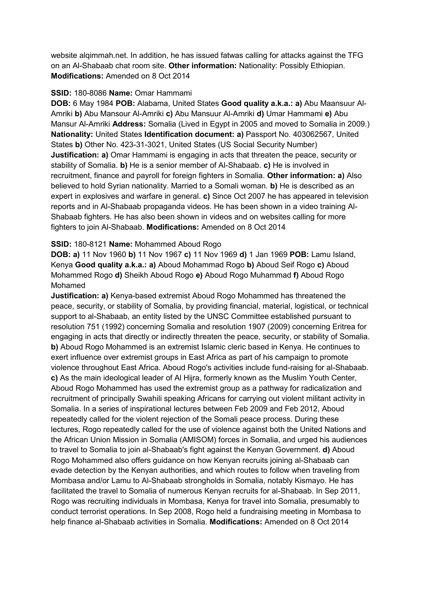website alqimmah.net. In addition, he has issued fatwas calling for attacks against the TFG on an Al-Shabaab chat room site. **Other information:** Nationality: Possibly Ethiopian. **Modifications:** Amended on 8 Oct 2014

#### **SSID:** 180-8086 **Name:** Omar Hammami

**DOB:** 6 May 1984 **POB:** Alabama, United States **Good quality a.k.a.: a)** Abu Maansuur Al-Amriki **b)** Abu Mansour Al-Amriki **c)** Abu Mansuur Al-Amriki **d)** Umar Hammami **e)** Abu Mansur Al-Amriki **Address:** Somalia (Lived in Egypt in 2005 and moved to Somalia in 2009.) **Nationality:** United States **Identification document: a)** Passport No. 403062567, United States **b)** Other No. 423-31-3021, United States (US Social Security Number) **Justification: a)** Omar Hammami is engaging in acts that threaten the peace, security or stability of Somalia. **b)** He is a senior member of Al-Shabaab. **c)** He is involved in recruitment, finance and payroll for foreign fighters in Somalia. **Other information: a)** Also believed to hold Syrian nationality. Married to a Somali woman. **b)** He is described as an expert in explosives and warfare in general. **c)** Since Oct 2007 he has appeared in television reports and in Al-Shabaab propaganda videos. He has been shown in a video training Al-Shabaab fighters. He has also been shown in videos and on websites calling for more fighters to join Al-Shabaab. **Modifications:** Amended on 8 Oct 2014

#### **SSID:** 180-8121 **Name:** Mohammed Aboud Rogo

**DOB: a)** 11 Nov 1960 **b)** 11 Nov 1967 **c)** 11 Nov 1969 **d)** 1 Jan 1969 **POB:** Lamu Island, Kenya **Good quality a.k.a.: a)** Aboud Mohammad Rogo **b)** Aboud Seif Rogo **c)** Aboud Mohammed Rogo **d)** Sheikh Aboud Rogo **e)** Aboud Rogo Muhammad **f)** Aboud Rogo Mohamed

**Justification: a)** Kenya-based extremist Aboud Rogo Mohammed has threatened the peace, security, or stability of Somalia, by providing financial, material, logistical, or technical support to al-Shabaab, an entity listed by the UNSC Committee established pursuant to resolution 751 (1992) concerning Somalia and resolution 1907 (2009) concerning Eritrea for engaging in acts that directly or indirectly threaten the peace, security, or stability of Somalia. **b)** Aboud Rogo Mohammed is an extremist Islamic cleric based in Kenya. He continues to exert influence over extremist groups in East Africa as part of his campaign to promote violence throughout East Africa. Aboud Rogo's activities include fund-raising for al-Shabaab. **c)** As the main ideological leader of Al Hijra, formerly known as the Muslim Youth Center, Aboud Rogo Mohammed has used the extremist group as a pathway for radicalization and recruitment of principally Swahili speaking Africans for carrying out violent militant activity in Somalia. In a series of inspirational lectures between Feb 2009 and Feb 2012, Aboud repeatedly called for the violent rejection of the Somali peace process. During these lectures, Rogo repeatedly called for the use of violence against both the United Nations and the African Union Mission in Somalia (AMISOM) forces in Somalia, and urged his audiences to travel to Somalia to join al-Shabaab's fight against the Kenyan Government. **d)** Aboud Rogo Mohammed also offers guidance on how Kenyan recruits joining al-Shabaab can evade detection by the Kenyan authorities, and which routes to follow when traveling from Mombasa and/or Lamu to Al-Shabaab strongholds in Somalia, notably Kismayo. He has facilitated the travel to Somalia of numerous Kenyan recruits for al-Shabaab. In Sep 2011, Rogo was recruiting individuals in Mombasa, Kenya for travel into Somalia, presumably to conduct terrorist operations. In Sep 2008, Rogo held a fundraising meeting in Mombasa to help finance al-Shabaab activities in Somalia. **Modifications:** Amended on 8 Oct 2014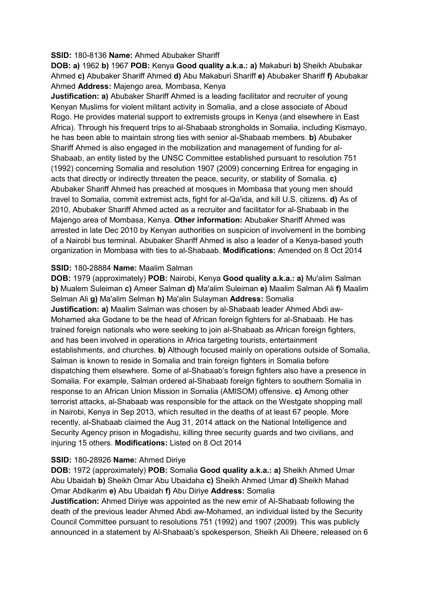#### **SSID:** 180-8136 **Name:** Ahmed Abubaker Shariff

**DOB: a)** 1962 **b)** 1967 **POB:** Kenya **Good quality a.k.a.: a)** Makaburi **b)** Sheikh Abubakar Ahmed **c)** Abubaker Shariff Ahmed **d)** Abu Makaburi Shariff **e)** Abubaker Shariff **f)** Abubakar Ahmed **Address:** Majengo area, Mombasa, Kenya

**Justification: a)** Abubaker Shariff Ahmed is a leading facilitator and recruiter of young Kenyan Muslims for violent militant activity in Somalia, and a close associate of Aboud Rogo. He provides material support to extremists groups in Kenya (and elsewhere in East Africa). Through his frequent trips to al-Shabaab strongholds in Somalia, including Kismayo, he has been able to maintain strong ties with senior al-Shabaab members. **b)** Abubaker Shariff Ahmed is also engaged in the mobilization and management of funding for al-Shabaab, an entity listed by the UNSC Committee established pursuant to resolution 751 (1992) concerning Somalia and resolution 1907 (2009) concerning Eritrea for engaging in acts that directly or indirectly threaten the peace, security, or stability of Somalia. **c)**  Abubaker Shariff Ahmed has preached at mosques in Mombasa that young men should travel to Somalia, commit extremist acts, fight for al-Qa'ida, and kill U.S. citizens. **d)** As of 2010, Abubaker Shariff Ahmed acted as a recruiter and facilitator for al-Shabaab in the Majengo area of Mombasa, Kenya. **Other information:** Abubaker Shariff Ahmed was arrested in late Dec 2010 by Kenyan authorities on suspicion of involvement in the bombing of a Nairobi bus terminal. Abubaker Shariff Ahmed is also a leader of a Kenya-based youth organization in Mombasa with ties to al-Shabaab. **Modifications:** Amended on 8 Oct 2014

#### **SSID:** 180-28884 **Name:** Maalim Salman

**DOB:** 1979 (approximately) **POB:** Nairobi, Kenya **Good quality a.k.a.: a)** Mu'alim Salman **b)** Mualem Suleiman **c)** Ameer Salman **d)** Ma'alim Suleiman **e)** Maalim Salman Ali **f)** Maalim Selman Ali **g)** Ma'alim Selman **h)** Ma'alin Sulayman **Address:** Somalia **Justification: a)** Maalim Salman was chosen by al-Shabaab leader Ahmed Abdi aw-Mohamed aka Godane to be the head of African foreign fighters for al-Shabaab. He has trained foreign nationals who were seeking to join al-Shabaab as African foreign fighters, and has been involved in operations in Africa targeting tourists, entertainment establishments, and churches. **b)** Although focused mainly on operations outside of Somalia, Salman is known to reside in Somalia and train foreign fighters in Somalia before dispatching them elsewhere. Some of al-Shabaab's foreign fighters also have a presence in Somalia. For example, Salman ordered al-Shabaab foreign fighters to southern Somalia in response to an African Union Mission in Somalia (AMISOM) offensive. **c)** Among other terrorist attacks, al-Shabaab was responsible for the attack on the Westgate shopping mall in Nairobi, Kenya in Sep 2013, which resulted in the deaths of at least 67 people. More recently, al-Shabaab claimed the Aug 31, 2014 attack on the National Intelligence and Security Agency prison in Mogadishu, killing three security guards and two civilians, and injuring 15 others. **Modifications:** Listed on 8 Oct 2014

#### **SSID:** 180-28926 **Name:** Ahmed Diriye

**DOB:** 1972 (approximately) **POB:** Somalia **Good quality a.k.a.: a)** Sheikh Ahmed Umar Abu Ubaidah **b)** Sheikh Omar Abu Ubaidaha **c)** Sheikh Ahmed Umar **d)** Sheikh Mahad Omar Abdikarim **e)** Abu Ubaidah **f)** Abu Diriye **Address:** Somalia

**Justification:** Ahmed Diriye was appointed as the new emir of Al-Shabaab following the death of the previous leader Ahmed Abdi aw-Mohamed, an individual listed by the Security Council Committee pursuant to resolutions 751 (1992) and 1907 (2009). This was publicly announced in a statement by Al-Shabaab's spokesperson, Sheikh Ali Dheere, released on 6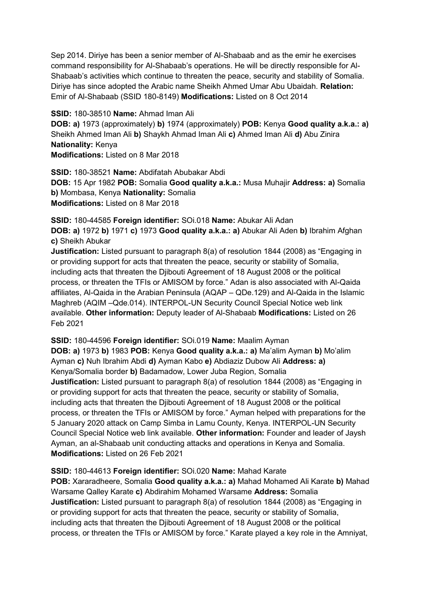Sep 2014. Diriye has been a senior member of Al-Shabaab and as the emir he exercises command responsibility for Al-Shabaab's operations. He will be directly responsible for Al-Shabaab's activities which continue to threaten the peace, security and stability of Somalia. Diriye has since adopted the Arabic name Sheikh Ahmed Umar Abu Ubaidah. **Relation:** Emir of Al-Shabaab (SSID 180-8149) **Modifications:** Listed on 8 Oct 2014

**SSID:** 180-38510 **Name:** Ahmad Iman Ali **DOB: a)** 1973 (approximately) **b)** 1974 (approximately) **POB:** Kenya **Good quality a.k.a.: a)**  Sheikh Ahmed Iman Ali **b)** Shaykh Ahmad Iman Ali **c)** Ahmed Iman Ali **d)** Abu Zinira **Nationality:** Kenya **Modifications:** Listed on 8 Mar 2018

**SSID:** 180-38521 **Name:** Abdifatah Abubakar Abdi **DOB:** 15 Apr 1982 **POB:** Somalia **Good quality a.k.a.:** Musa Muhajir **Address: a)** Somalia **b)** Mombasa, Kenya **Nationality:** Somalia **Modifications:** Listed on 8 Mar 2018

**SSID:** 180-44585 **Foreign identifier:** SOi.018 **Name:** Abukar Ali Adan **DOB: a)** 1972 **b)** 1971 **c)** 1973 **Good quality a.k.a.: a)** Abukar Ali Aden **b)** Ibrahim Afghan **c)** Sheikh Abukar

**Justification:** Listed pursuant to paragraph 8(a) of resolution 1844 (2008) as "Engaging in or providing support for acts that threaten the peace, security or stability of Somalia, including acts that threaten the Djibouti Agreement of 18 August 2008 or the political process, or threaten the TFIs or AMISOM by force." Adan is also associated with Al-Qaida affiliates, Al-Qaida in the Arabian Peninsula (AQAP – QDe.129) and Al-Qaida in the Islamic Maghreb (AQIM –Qde.014). INTERPOL-UN Security Council Special Notice web link available. **Other information:** Deputy leader of Al-Shabaab **Modifications:** Listed on 26 Feb 2021

**SSID:** 180-44596 **Foreign identifier:** SOi.019 **Name:** Maalim Ayman **DOB: a)** 1973 **b)** 1983 **POB:** Kenya **Good quality a.k.a.: a)** Ma'alim Ayman **b)** Mo'alim Ayman **c)** Nuh Ibrahim Abdi **d)** Ayman Kabo **e)** Abdiaziz Dubow Ali **Address: a)**  Kenya/Somalia border **b)** Badamadow, Lower Juba Region, Somalia **Justification:** Listed pursuant to paragraph 8(a) of resolution 1844 (2008) as "Engaging in or providing support for acts that threaten the peace, security or stability of Somalia, including acts that threaten the Djibouti Agreement of 18 August 2008 or the political process, or threaten the TFIs or AMISOM by force." Ayman helped with preparations for the 5 January 2020 attack on Camp Simba in Lamu County, Kenya. INTERPOL-UN Security Council Special Notice web link available. **Other information:** Founder and leader of Jaysh Ayman, an al-Shabaab unit conducting attacks and operations in Kenya and Somalia. **Modifications:** Listed on 26 Feb 2021

**SSID:** 180-44613 **Foreign identifier:** SOi.020 **Name:** Mahad Karate

**POB:** Xararadheere, Somalia **Good quality a.k.a.: a)** Mahad Mohamed Ali Karate **b)** Mahad Warsame Qalley Karate **c)** Abdirahim Mohamed Warsame **Address:** Somalia **Justification:** Listed pursuant to paragraph 8(a) of resolution 1844 (2008) as "Engaging in or providing support for acts that threaten the peace, security or stability of Somalia, including acts that threaten the Djibouti Agreement of 18 August 2008 or the political process, or threaten the TFIs or AMISOM by force." Karate played a key role in the Amniyat,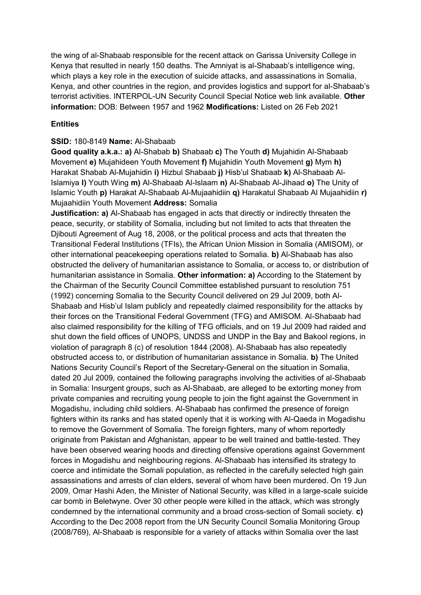the wing of al-Shabaab responsible for the recent attack on Garissa University College in Kenya that resulted in nearly 150 deaths. The Amniyat is al-Shabaab's intelligence wing, which plays a key role in the execution of suicide attacks, and assassinations in Somalia, Kenya, and other countries in the region, and provides logistics and support for al-Shabaab's terrorist activities. INTERPOL-UN Security Council Special Notice web link available. **Other information:** DOB: Between 1957 and 1962 **Modifications:** Listed on 26 Feb 2021

### **Entities**

### **SSID:** 180-8149 **Name:** Al-Shabaab

**Good quality a.k.a.: a)** Al-Shabab **b)** Shabaab **c)** The Youth **d)** Mujahidin Al-Shabaab Movement **e)** Mujahideen Youth Movement **f)** Mujahidin Youth Movement **g)** Mym **h)**  Harakat Shabab Al-Mujahidin **i)** Hizbul Shabaab **j)** Hisb'ul Shabaab **k)** Al-Shabaab Al-Islamiya **l)** Youth Wing **m)** Al-Shabaab Al-Islaam **n)** Al-Shabaab Al-Jihaad **o)** The Unity of Islamic Youth **p)** Harakat Al-Shabaab Al-Mujaahidiin **q)** Harakatul Shabaab Al Mujaahidiin **r)**  Mujaahidiin Youth Movement **Address:** Somalia

**Justification: a)** Al-Shabaab has engaged in acts that directly or indirectly threaten the peace, security, or stability of Somalia, including but not limited to acts that threaten the Djibouti Agreement of Aug 18, 2008, or the political process and acts that threaten the Transitional Federal Institutions (TFIs), the African Union Mission in Somalia (AMISOM), or other international peacekeeping operations related to Somalia. **b)** Al-Shabaab has also obstructed the delivery of humanitarian assistance to Somalia, or access to, or distribution of humanitarian assistance in Somalia. **Other information: a)** According to the Statement by the Chairman of the Security Council Committee established pursuant to resolution 751 (1992) concerning Somalia to the Security Council delivered on 29 Jul 2009, both Al-Shabaab and Hisb'ul Islam publicly and repeatedly claimed responsibility for the attacks by their forces on the Transitional Federal Government (TFG) and AMISOM. Al-Shabaab had also claimed responsibility for the killing of TFG officials, and on 19 Jul 2009 had raided and shut down the field offices of UNOPS, UNDSS and UNDP in the Bay and Bakool regions, in violation of paragraph 8 (c) of resolution 1844 (2008). Al-Shabaab has also repeatedly obstructed access to, or distribution of humanitarian assistance in Somalia. **b)** The United Nations Security Council's Report of the Secretary-General on the situation in Somalia, dated 20 Jul 2009, contained the following paragraphs involving the activities of al-Shabaab in Somalia: Insurgent groups, such as Al-Shabaab, are alleged to be extorting money from private companies and recruiting young people to join the fight against the Government in Mogadishu, including child soldiers. Al-Shabaab has confirmed the presence of foreign fighters within its ranks and has stated openly that it is working with Al-Qaeda in Mogadishu to remove the Government of Somalia. The foreign fighters, many of whom reportedly originate from Pakistan and Afghanistan, appear to be well trained and battle-tested. They have been observed wearing hoods and directing offensive operations against Government forces in Mogadishu and neighbouring regions. Al-Shabaab has intensified its strategy to coerce and intimidate the Somali population, as reflected in the carefully selected high gain assassinations and arrests of clan elders, several of whom have been murdered. On 19 Jun 2009, Omar Hashi Aden, the Minister of National Security, was killed in a large-scale suicide car bomb in Beletwyne. Over 30 other people were killed in the attack, which was strongly condemned by the international community and a broad cross-section of Somali society. **c)**  According to the Dec 2008 report from the UN Security Council Somalia Monitoring Group (2008/769), Al-Shabaab is responsible for a variety of attacks within Somalia over the last